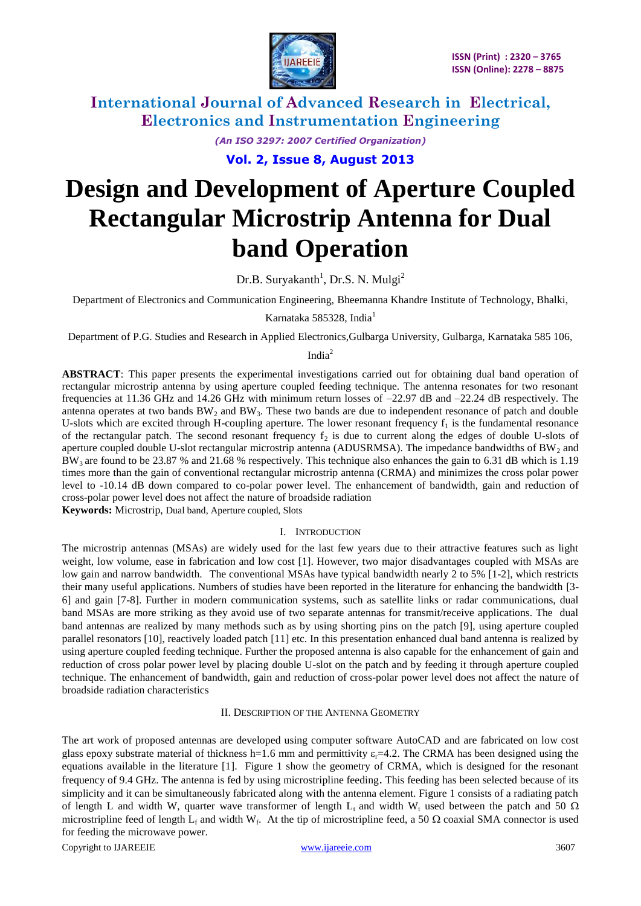

> *(An ISO 3297: 2007 Certified Organization)* **Vol. 2, Issue 8, August 2013**

# **Design and Development of Aperture Coupled Rectangular Microstrip Antenna for Dual band Operation**

Dr.B. Suryakanth<sup>1</sup>, Dr.S. N. Mulgi<sup>2</sup>

Department of Electronics and Communication Engineering, Bheemanna Khandre Institute of Technology, Bhalki,

Karnataka 585328, India<sup>1</sup>

Department of P.G. Studies and Research in Applied Electronics,Gulbarga University, Gulbarga, Karnataka 585 106,

### India<sup>2</sup>

**ABSTRACT**: This paper presents the experimental investigations carried out for obtaining dual band operation of rectangular microstrip antenna by using aperture coupled feeding technique. The antenna resonates for two resonant frequencies at 11.36 GHz and 14.26 GHz with minimum return losses of –22.97 dB and –22.24 dB respectively. The antenna operates at two bands  $BW_2$  and  $BW_3$ . These two bands are due to independent resonance of patch and double U-slots which are excited through H-coupling aperture. The lower resonant frequency  $f_1$  is the fundamental resonance of the rectangular patch. The second resonant frequency  $f_2$  is due to current along the edges of double U-slots of aperture coupled double U-slot rectangular microstrip antenna (ADUSRMSA). The impedance bandwidths of  $BW_2$  and  $BW_3$  are found to be 23.87 % and 21.68 % respectively. This technique also enhances the gain to 6.31 dB which is 1.19 times more than the gain of conventional rectangular microstrip antenna (CRMA) and minimizes the cross polar power level to -10.14 dB down compared to co-polar power level. The enhancement of bandwidth, gain and reduction of cross-polar power level does not affect the nature of broadside radiation

**Keywords:** Microstrip, Dual band, Aperture coupled, Slots

### I. INTRODUCTION

The microstrip antennas (MSAs) are widely used for the last few years due to their attractive features such as light weight, low volume, ease in fabrication and low cost [1]. However, two major disadvantages coupled with MSAs are low gain and narrow bandwidth. The conventional MSAs have typical bandwidth nearly 2 to 5% [1-2], which restricts their many useful applications. Numbers of studies have been reported in the literature for enhancing the bandwidth [3- 6] and gain [7-8]. Further in modern communication systems, such as satellite links or radar communications, dual band MSAs are more striking as they avoid use of two separate antennas for transmit/receive applications. The dual band antennas are realized by many methods such as by using shorting pins on the patch [9], using aperture coupled parallel resonators [10], reactively loaded patch [11] etc. In this presentation enhanced dual band antenna is realized by using aperture coupled feeding technique. Further the proposed antenna is also capable for the enhancement of gain and reduction of cross polar power level by placing double U-slot on the patch and by feeding it through aperture coupled technique. The enhancement of bandwidth, gain and reduction of cross-polar power level does not affect the nature of broadside radiation characteristics

### II. DESCRIPTION OF THE ANTENNA GEOMETRY

The art work of proposed antennas are developed using computer software AutoCAD and are fabricated on low cost glass epoxy substrate material of thickness h=1.6 mm and permittivity  $\varepsilon$ =4.2. The CRMA has been designed using the equations available in the literature [1]. Figure 1 show the geometry of CRMA, which is designed for the resonant frequency of 9.4 GHz. The antenna is fed by using microstripline feeding. This feeding has been selected because of its simplicity and it can be simultaneously fabricated along with the antenna element. Figure 1 consists of a radiating patch of length L and width W, quarter wave transformer of length  $L_t$  and width W<sub>t</sub> used between the patch and 50  $\Omega$ microstripline feed of length  $L_f$  and width W<sub>f</sub>. At the tip of microstripline feed, a 50  $\Omega$  coaxial SMA connector is used for feeding the microwave power.

Copyright to IJAREEIE [www.ijareeie.com](http://www.ijareeie.com/) 3607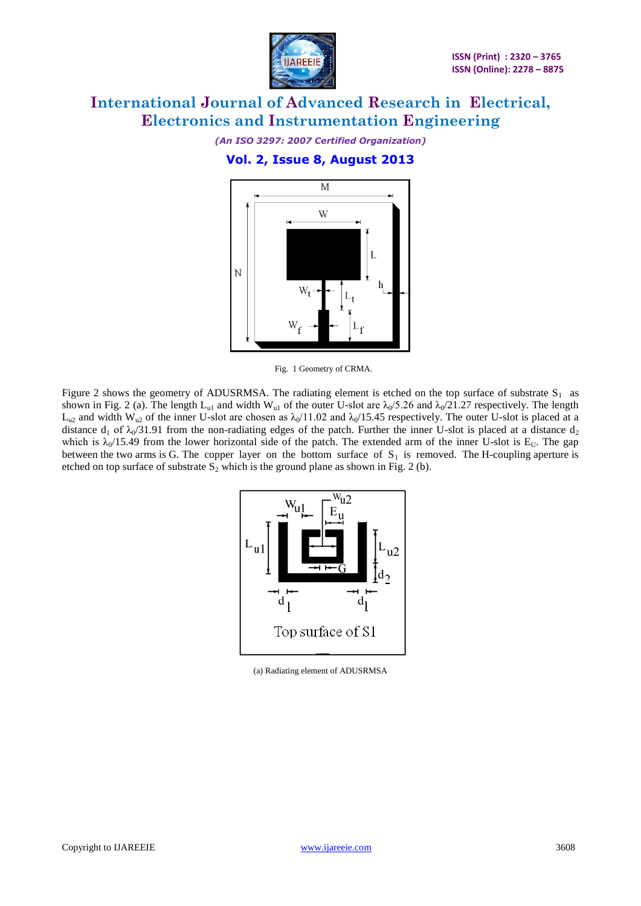

*(An ISO 3297: 2007 Certified Organization)*

### **Vol. 2, Issue 8, August 2013**



Fig. 1 Geometry of CRMA.

Figure 2 shows the geometry of ADUSRMSA. The radiating element is etched on the top surface of substrate  $S_1$  as shown in Fig. 2 (a). The length L<sub>u1</sub> and width W<sub>u1</sub> of the outer U-slot are  $\lambda_0/5.26$  and  $\lambda_0/21.27$  respectively. The length  $L_{u2}$  and width W<sub>u2</sub> of the inner U-slot are chosen as  $\lambda_0/11.02$  and  $\lambda_0/15.45$  respectively. The outer U-slot is placed at a distance  $d_1$  of  $\lambda_0/31.91$  from the non-radiating edges of the patch. Further the inner U-slot is placed at a distance  $d_2$ which is  $\lambda_0/15.49$  from the lower horizontal side of the patch. The extended arm of the inner U-slot is E<sub>U</sub>. The gap between the two arms is G. The copper layer on the bottom surface of  $S_1$  is removed. The H-coupling aperture is etched on top surface of substrate  $S_2$  which is the ground plane as shown in Fig. 2 (b).



(a) Radiating element of ADUSRMSA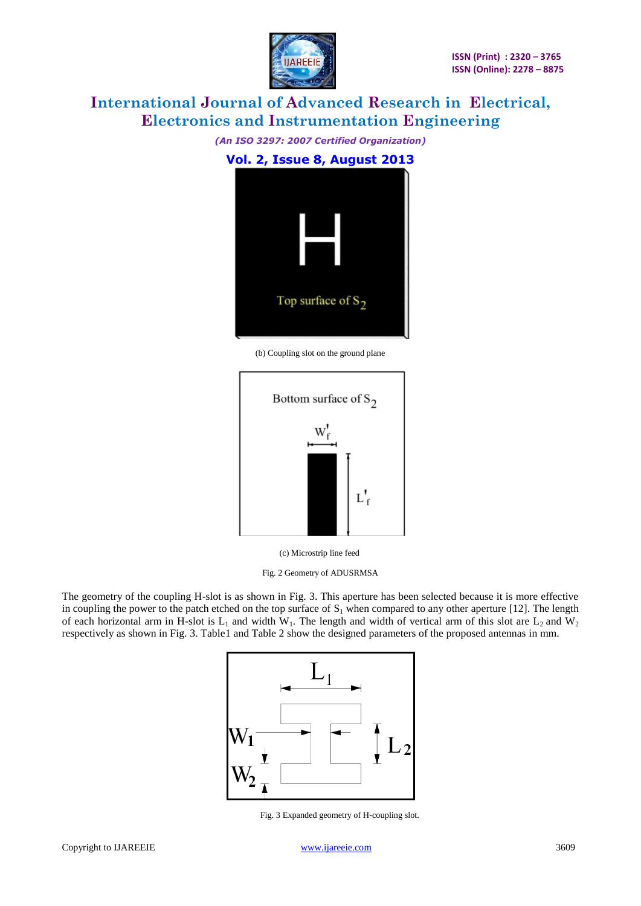

*(An ISO 3297: 2007 Certified Organization)*

**Vol. 2, Issue 8, August 2013** Top surface of  $S_2$ 

(b) Coupling slot on the ground plane



(c) Microstrip line feed

Fig. 2 Geometry of ADUSRMSA

The geometry of the coupling H-slot is as shown in Fig. 3. This aperture has been selected because it is more effective in coupling the power to the patch etched on the top surface of  $S_1$  when compared to any other aperture [12]. The length of each horizontal arm in H-slot is  $L_1$  and width W<sub>1</sub>. The length and width of vertical arm of this slot are  $L_2$  and W<sub>2</sub> respectively as shown in Fig. 3. Table1 and Table 2 show the designed parameters of the proposed antennas in mm.



Fig. 3 Expanded geometry of H-coupling slot.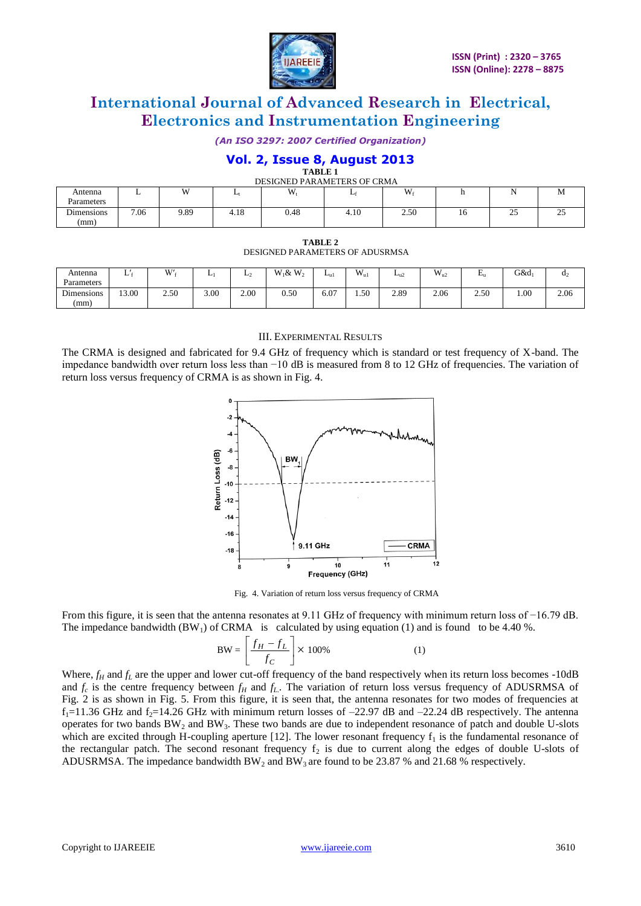

*(An ISO 3297: 2007 Certified Organization)*

### **Vol. 2, Issue 8, August 2013**

|  | TABLE |  |  |  |
|--|-------|--|--|--|
|  |       |  |  |  |

| DESIGNED PARAMETERS OF CRMA |      |              |      |      |      |      |    |                    |                    |  |
|-----------------------------|------|--------------|------|------|------|------|----|--------------------|--------------------|--|
| Antenna                     | . .  | $\mathbf{W}$ |      | W    |      | W    |    | .                  | <b>IVI</b>         |  |
| Parameters                  |      |              |      |      |      |      |    |                    |                    |  |
| Dimensions                  | 7.06 | 9.89         | 4.18 | 0.48 | 4.10 | 2.50 | 10 | $\sim$ $\sim$<br>ت | $\sim$ $\sim$<br>ت |  |
| (mm)                        |      |              |      |      |      |      |    |                    |                    |  |

| TABLE 2                                |
|----------------------------------------|
| <b>DESIGNED PARAMETERS OF ADUSRMSA</b> |

| Antenna    | ⊷     | $\mathbf{W}$<br>vv | -    | ⊷<br>- | $W_1 \& W_2$ | $L_{ul}$ | $\rm W_{u1}$ | $L_{\rm u2}$ | $W_{u2}$ | $\blacksquare$<br>டி | $G&d_1$ | $\mathbf{d}_2$ |
|------------|-------|--------------------|------|--------|--------------|----------|--------------|--------------|----------|----------------------|---------|----------------|
| Parameters |       |                    |      |        |              |          |              |              |          |                      |         |                |
| Dimensions | 13.00 | 2.50               | 3.00 | 2.00   | 0.50         | 6.07     | 1.50         | 2.89         | 2.06     | 2.50                 | 1.00    | 2.06           |
| (mm)       |       |                    |      |        |              |          |              |              |          |                      |         |                |
|            |       |                    |      |        |              |          |              |              |          |                      |         |                |

#### III. EXPERIMENTAL RESULTS

The CRMA is designed and fabricated for 9.4 GHz of frequency which is standard or test frequency of X-band. The impedance bandwidth over return loss less than −10 dB is measured from 8 to 12 GHz of frequencies. The variation of return loss versus frequency of CRMA is as shown in Fig. 4.



Fig. 4. Variation of return loss versus frequency of CRMA

From this figure, it is seen that the antenna resonates at 9.11 GHz of frequency with minimum return loss of −16.79 dB. The impedance bandwidth  $(BW_1)$  of CRMA is calculated by using equation (1) and is found to be 4.40 %.

$$
BW = \left[\frac{f_H - f_L}{f_C}\right] \times 100\% \tag{1}
$$

Where,  $f_H$  and  $f_L$  are the upper and lower cut-off frequency of the band respectively when its return loss becomes -10dB and  $f_c$  is the centre frequency between  $f_H$  and  $f_L$ . The variation of return loss versus frequency of ADUSRMSA of Fig. 2 is as shown in Fig. 5. From this figure, it is seen that, the antenna resonates for two modes of frequencies at  $f_1$ =11.36 GHz and  $f_2$ =14.26 GHz with minimum return losses of -22.97 dB and -22.24 dB respectively. The antenna operates for two bands  $BW_2$  and  $BW_3$ . These two bands are due to independent resonance of patch and double U-slots which are excited through H-coupling aperture [12]. The lower resonant frequency  $f_1$  is the fundamental resonance of the rectangular patch. The second resonant frequency  $f<sub>2</sub>$  is due to current along the edges of double U-slots of ADUSRMSA. The impedance bandwidth BW<sub>2</sub> and BW<sub>3</sub> are found to be 23.87 % and 21.68 % respectively.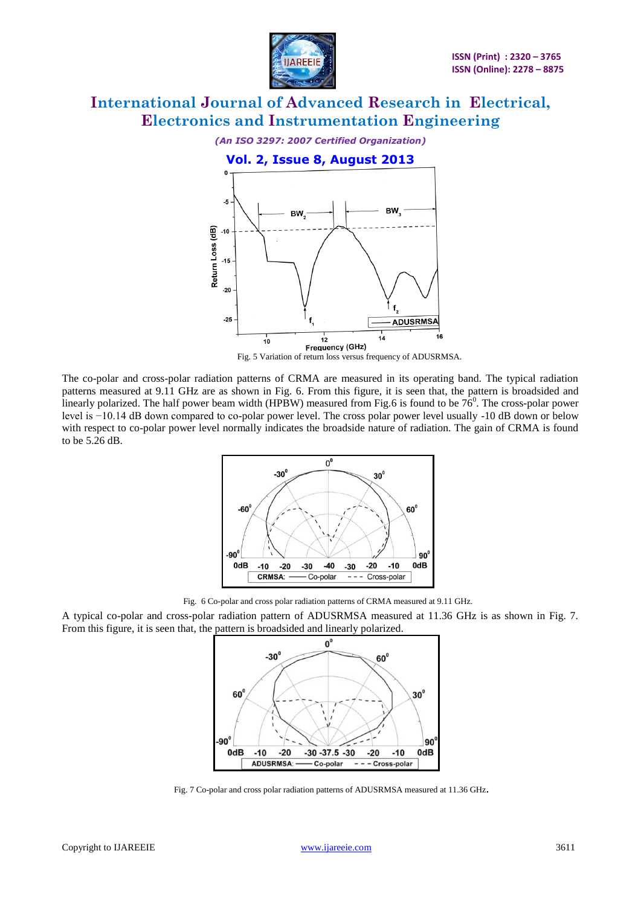



Fig. 5 Variation of return loss versus frequency of ADUSRMSA.

The co-polar and cross-polar radiation patterns of CRMA are measured in its operating band. The typical radiation patterns measured at 9.11 GHz are as shown in Fig. 6. From this figure, it is seen that, the pattern is broadsided and linearly polarized. The half power beam width (HPBW) measured from Fig.6 is found to be  $76^0$ . The cross-polar power level is −10.14 dB down compared to co-polar power level. The cross polar power level usually -10 dB down or below with respect to co-polar power level normally indicates the broadside nature of radiation. The gain of CRMA is found to be 5.26 dB.



Fig. 6 Co-polar and cross polar radiation patterns of CRMA measured at 9.11 GHz.

A typical co-polar and cross-polar radiation pattern of ADUSRMSA measured at 11.36 GHz is as shown in Fig. 7. From this figure, it is seen that, the pattern is broadsided and linearly polarized.



Fig. 7 Co-polar and cross polar radiation patterns of ADUSRMSA measured at 11.36 GHz.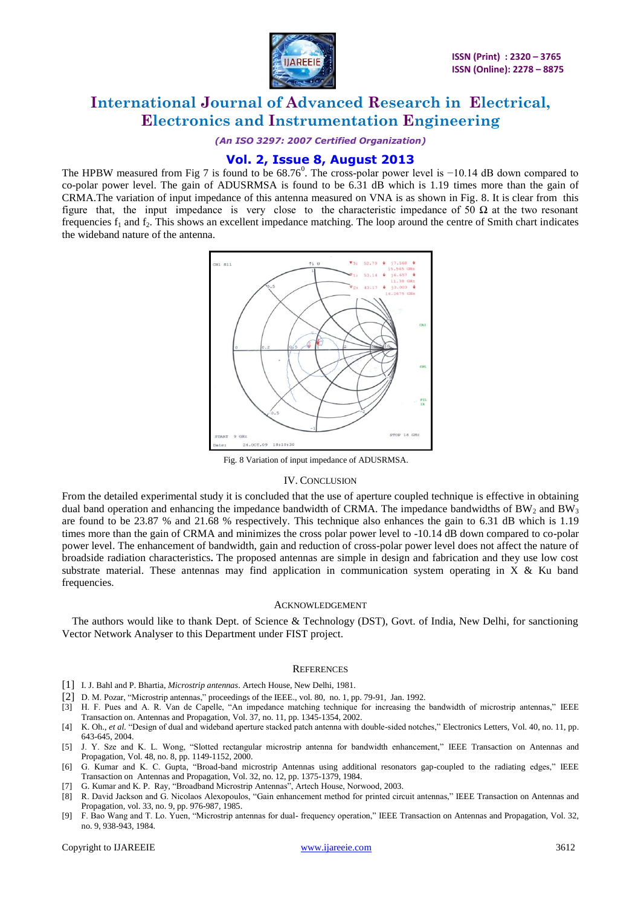

*(An ISO 3297: 2007 Certified Organization)*

### **Vol. 2, Issue 8, August 2013**

The HPBW measured from Fig 7 is found to be  $68.76^{\circ}$ . The cross-polar power level is  $-10.14$  dB down compared to co-polar power level. The gain of ADUSRMSA is found to be 6.31 dB which is 1.19 times more than the gain of CRMA.The variation of input impedance of this antenna measured on VNA is as shown in Fig. 8. It is clear from this figure that, the input impedance is very close to the characteristic impedance of 50  $\Omega$  at the two resonant frequencies  $f_1$  and  $f_2$ . This shows an excellent impedance matching. The loop around the centre of Smith chart indicates the wideband nature of the antenna.



Fig. 8 Variation of input impedance of ADUSRMSA.

#### IV. CONCLUSION

From the detailed experimental study it is concluded that the use of aperture coupled technique is effective in obtaining dual band operation and enhancing the impedance bandwidth of CRMA. The impedance bandwidths of BW<sub>2</sub> and BW<sub>3</sub> are found to be 23.87 % and 21.68 % respectively. This technique also enhances the gain to 6.31 dB which is 1.19 times more than the gain of CRMA and minimizes the cross polar power level to -10.14 dB down compared to co-polar power level. The enhancement of bandwidth, gain and reduction of cross-polar power level does not affect the nature of broadside radiation characteristics**.** The proposed antennas are simple in design and fabrication and they use low cost substrate material. These antennas may find application in communication system operating in X  $\&$  Ku band frequencies.

#### ACKNOWLEDGEMENT

The authors would like to thank Dept. of Science & Technology (DST), Govt. of India, New Delhi, for sanctioning Vector Network Analyser to this Department under FIST project.

#### **REFERENCES**

- [1] I. J. Bahl and P. Bhartia, *Microstrip antennas*. Artech House, New Delhi, 1981.
- [2] D. M. Pozar, "Microstrip antennas," proceedings of the IEEE., vol. 80, no. 1, pp. 79-91, Jan. 1992.
- [3] H. F. Pues and A. R. Van de Capelle, "An impedance matching technique for increasing the bandwidth of microstrip antennas," IEEE Transaction on. Antennas and Propagation, Vol. 37, no. 11, pp. 1345-1354, 2002.
- [4] K. Oh., *et al.* "Design of dual and wideband aperture stacked patch antenna with double-sided notches," Electronics Letters, Vol. 40, no. 11, pp. 643-645, 2004.
- [5] J. Y. Sze and K. L. Wong, "Slotted rectangular microstrip antenna for bandwidth enhancement," IEEE Transaction on Antennas and Propagation, Vol. 48, no. 8, pp. 1149-1152, 2000.
- [6] G. Kumar and K. C. Gupta, "Broad-band microstrip Antennas using additional resonators gap-coupled to the radiating edges," IEEE Transaction on Antennas and Propagation, Vol. 32, no. 12, pp. 1375-1379, 1984.
- [7] G. Kumar and K. P. Ray, "Broadband Microstrip Antennas", Artech House, Norwood, 2003.
- [8] R. David Jackson and G. Nicolaos Alexopoulos, "Gain enhancement method for printed circuit antennas," IEEE Transaction on Antennas and Propagation*,* vol. 33, no. 9, pp. 976-987, 1985.
- [9] F. Bao Wang and T. Lo. Yuen, "Microstrip antennas for dual- frequency operation," IEEE Transaction on Antennas and Propagation, Vol. 32, no. 9, 938-943, 1984.